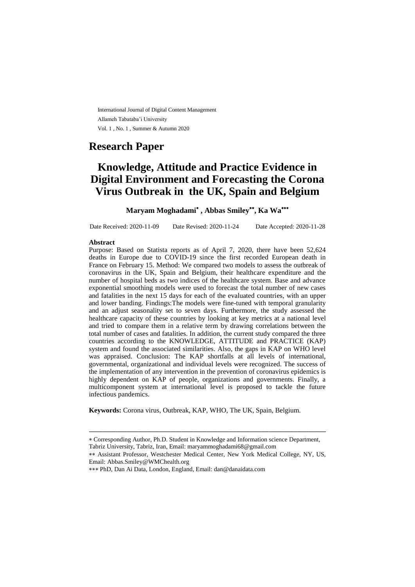International Journal of Digital Content Management Allameh Tabataba'i University Vol. 1 , No. 1 , Summer & Autumn 2020

# **Research Paper**

# **Knowledge, Attitude and Practice Evidence in Digital Environment and Forecasting the Corona Virus Outbreak in the UK, Spain and Belgium**

# **Maryam Moghadami , Abbas Smiley , Ka Wa**

Date Received: 2020-11-09 Date Revised: 2020-11-24 Date Accepted: 2020-11-28

#### **Abstract**

Purpose: Based on Statista reports as of April 7, 2020, there have been 52,624 deaths in Europe due to COVID-19 since the first recorded European death in France on February 15. Method: We compared two models to assess the outbreak of coronavirus in the UK, Spain and Belgium, their healthcare expenditure and the number of hospital beds as two indices of the healthcare system. Base and advance exponential smoothing models were used to forecast the total number of new cases and fatalities in the next 15 days for each of the evaluated countries, with an upper and lower banding. Findings:The models were fine-tuned with temporal granularity and an adjust seasonality set to seven days. Furthermore, the study assessed the healthcare capacity of these countries by looking at key metrics at a national level and tried to compare them in a relative term by drawing correlations between the total number of cases and fatalities. In addition, the current study compared the three countries according to the KNOWLEDGE, ATTITUDE and PRACTICE (KAP) system and found the associated similarities. Also, the gaps in KAP on WHO level was appraised. Conclusion: The KAP shortfalls at all levels of international, governmental, organizational and individual levels were recognized. The success of the implementation of any intervention in the prevention of coronavirus epidemics is highly dependent on KAP of people, organizations and governments. Finally, a multicomponent system at international level is proposed to tackle the future infectious pandemics.

**Keywords:** Corona virus, Outbreak, KAP, WHO, The UK, Spain, Belgium.

ـــــــــــــــــــــــــــــــــــــــــــــــــــــــــــــــــــــــــــــــــــــــــــــــــــــــــــــــــــــــــــــ

Corresponding Author, Ph.D. Student in Knowledge and Information science Department, Tabriz University, Tabriz, Iran, Email: maryammoghadami68@gmail.com

Assistant Professor, Westchester Medical Center, New York Medical College, NY, US, Email: [Abbas.Smiley@WMChealth.org](mailto:Abbas.Smiley@WMChealth.org)

PhD, Dan Ai Data, London, England, Email: dan@danaidata.com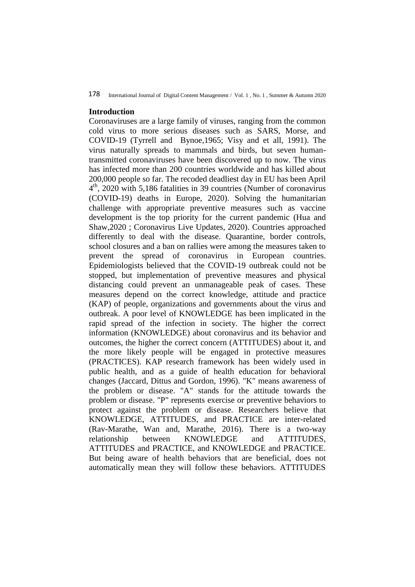#### 178 International Journal of Digital Content Management / Vol. 1 , No. 1 , Summer & Autumn 2020

### **Introduction**

Coronaviruses are a large family of viruses, ranging from the common cold virus to more serious diseases such as SARS, Morse, and COVID-19 (Tyrrell and Bynoe,1965; Visy and et all, 1991). The virus naturally spreads to mammals and birds, but seven humantransmitted coronaviruses have been discovered up to now. The virus has infected more than 200 countries worldwide and has killed about 200,000 people so far. The recoded deadliest day in EU has been April 4 th, 2020 with 5,186 fatalities in 39 countries (Number of coronavirus (COVID-19) deaths in Europe, 2020). Solving the humanitarian challenge with appropriate preventive measures such as vaccine development is the top priority for the current pandemic (Hua and Shaw,2020 ; Coronavirus Live Updates, 2020). Countries approached differently to deal with the disease. Quarantine, border controls, school closures and a ban on rallies were among the measures taken to prevent the spread of coronavirus in European countries. Epidemiologists believed that the COVID-19 outbreak could not be stopped, but implementation of preventive measures and physical distancing could prevent an unmanageable peak of cases. These measures depend on the correct knowledge, attitude and practice (KAP) of people, organizations and governments about the virus and outbreak. A poor level of KNOWLEDGE has been implicated in the rapid spread of the infection in society. The higher the correct information (KNOWLEDGE) about coronavirus and its behavior and outcomes, the higher the correct concern (ATTITUDES) about it, and the more likely people will be engaged in protective measures (PRACTICES). KAP research framework has been widely used in public health, and as a guide of health education for behavioral changes (Jaccard, Dittus and Gordon, 1996). "K" means awareness of the problem or disease. "A" stands for the attitude towards the problem or disease. "P" represents exercise or preventive behaviors to protect against the problem or disease. Researchers believe that KNOWLEDGE, ATTITUDES, and PRACTICE are inter-related (Rav-Marathe, Wan and, Marathe, 2016). There is a two-way relationship between KNOWLEDGE and ATTITUDES, ATTITUDES and PRACTICE, and KNOWLEDGE and PRACTICE. But being aware of health behaviors that are beneficial, does not automatically mean they will follow these behaviors. ATTITUDES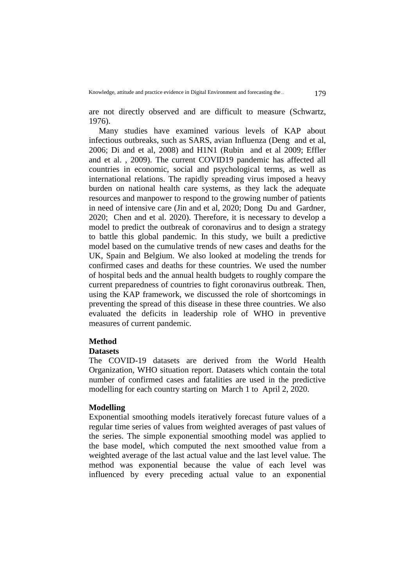are not directly observed and are difficult to measure (Schwartz, 1976).

Many studies have examined various levels of KAP about infectious outbreaks, such as SARS, avian Influenza (Deng and et al, 2006; Di and et al, 2008) and H1N1 (Rubin and et al 2009; Effler and et al. , 2009). The current COVID19 pandemic has affected all countries in economic, social and psychological terms, as well as international relations. The rapidly spreading virus imposed a heavy burden on national health care systems, as they lack the adequate resources and manpower to respond to the growing number of patients in need of intensive care (Jin and et al, 2020; Dong Du and Gardner, 2020; Chen and et al. 2020). Therefore, it is necessary to develop a model to predict the outbreak of coronavirus and to design a strategy to battle this global pandemic. In this study, we built a predictive model based on the cumulative trends of new cases and deaths for the UK, Spain and Belgium. We also looked at modeling the trends for confirmed cases and deaths for these countries. We used the number of hospital beds and the annual health budgets to roughly compare the current preparedness of countries to fight coronavirus outbreak. Then, using the KAP framework, we discussed the role of shortcomings in preventing the spread of this disease in these three countries. We also evaluated the deficits in leadership role of WHO in preventive measures of current pandemic.

### **Method**

#### **Datasets**

The COVID-19 datasets are derived from the World Health Organization, WHO situation report. Datasets which contain the total number of confirmed cases and fatalities are used in the predictive modelling for each country starting on March 1 to April 2, 2020.

# **Modelling**

Exponential smoothing models iteratively forecast future values of a regular time series of values from weighted averages of past values of the series. The simple exponential smoothing model was applied to the base model, which computed the next smoothed value from a weighted average of the last actual value and the last level value. The method was exponential because the value of each level was influenced by every preceding actual value to an exponential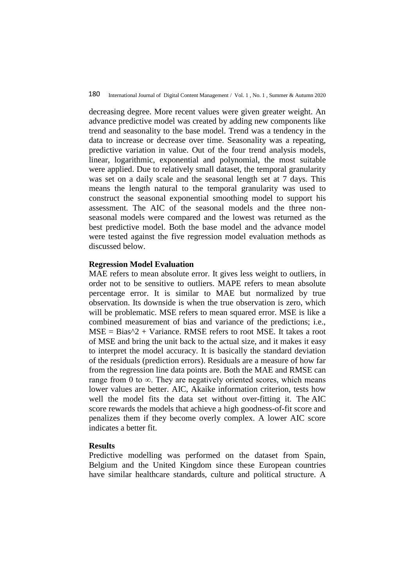decreasing degree. More recent values were given greater weight. An advance predictive model was created by adding new components like trend and seasonality to the base model. Trend was a tendency in the data to increase or decrease over time. Seasonality was a repeating, predictive variation in value. Out of the four trend analysis models, linear, logarithmic, exponential and polynomial, the most suitable were applied. Due to relatively small dataset, the temporal granularity was set on a daily scale and the seasonal length set at 7 days. This means the length natural to the temporal granularity was used to construct the seasonal exponential smoothing model to support his assessment. The AIC of the seasonal models and the three nonseasonal models were compared and the lowest was returned as the best predictive model. Both the base model and the advance model were tested against the five regression model evaluation methods as discussed below.

### **Regression Model Evaluation**

MAE refers to mean absolute error. It gives less weight to outliers, in order not to be sensitive to outliers. MAPE refers to mean absolute percentage error. It is similar to MAE but normalized by true observation. Its downside is when the true observation is zero, which will be problematic. MSE refers to mean squared error. MSE is like a combined measurement of bias and variance of the predictions; i.e.,  $MSE = Bias^2 + Variance$ . RMSE refers to root MSE. It takes a root of MSE and bring the unit back to the actual size, and it makes it easy to interpret the model accuracy. It is basically the standard deviation of the residuals (prediction errors). Residuals are a measure of how far from the regression line data points are. Both the MAE and RMSE can range from 0 to  $\infty$ . They are negatively oriented scores, which means lower values are better. AIC, Akaike information criterion, tests how well the model fits the data set without over-fitting it. The AIC score rewards the models that achieve a high goodness-of-fit score and penalizes them if they become overly complex. A lower AIC score indicates a better fit.

## **Results**

Predictive modelling was performed on the dataset from Spain, Belgium and the United Kingdom since these European countries have similar healthcare standards, culture and political structure. A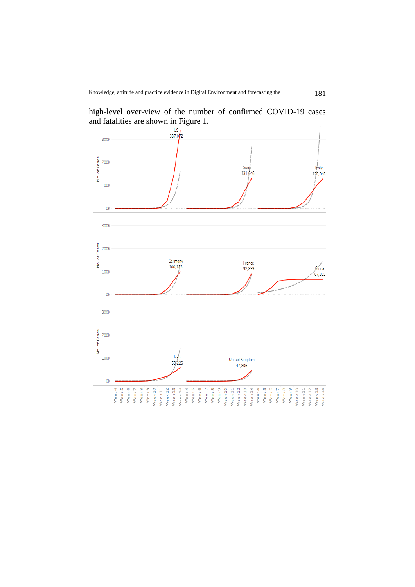

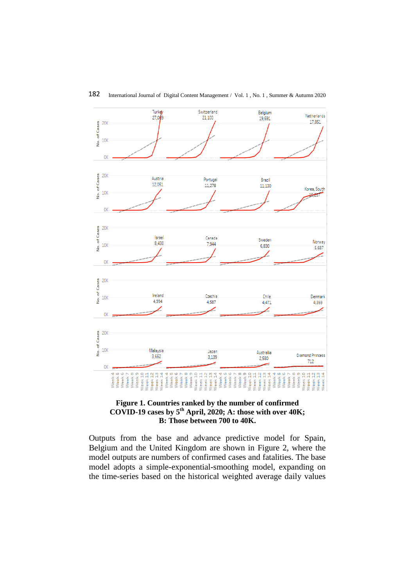

**Figure 1. Countries ranked by the number of confirmed COVID-19 cases by 5th April, 2020; A: those with over 40K; B: Those between 700 to 40K.**

Outputs from the base and advance predictive model for Spain, Belgium and the United Kingdom are shown in Figure 2, where the model outputs are numbers of confirmed cases and fatalities. The base model adopts a simple-exponential-smoothing model, expanding on the time-series based on the historical weighted average daily values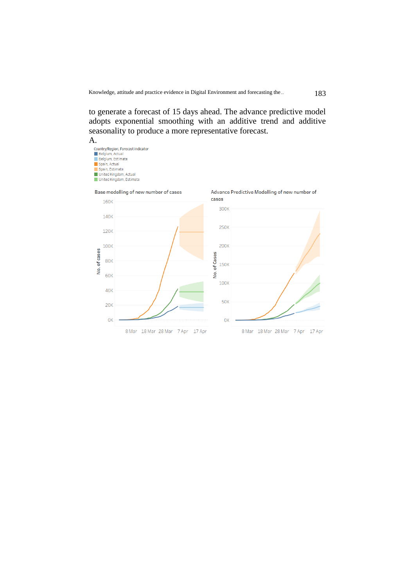to generate a forecast of 15 days ahead. The advance predictive model adopts exponential smoothing with an additive trend and additive seasonality to produce a more representative forecast.









Advance Predictive Modelling of new number of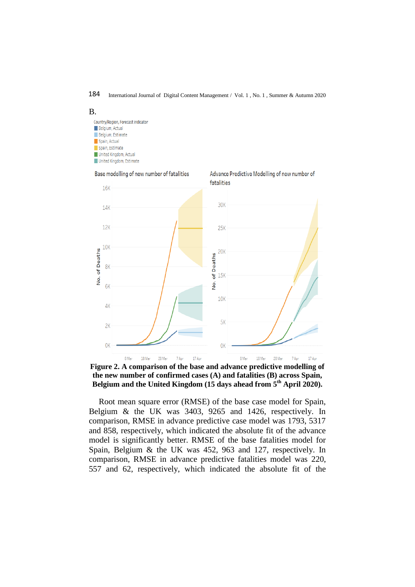184 International Journal of Digital Content Management / Vol. 1 , No. 1 , Summer & Autumn 2020

B. Country/Region, Forecast indicator **Belgium** Actual Belgium, Estimate Spain, Actual Spain Estimate United Kingdom, Actual United Kingdom, Estimate



**Figure 2. A comparison of the base and advance predictive modelling of the new number of confirmed cases (A) and fatalities (B) across Spain, Belgium and the United Kingdom (15 days ahead from 5th April 2020).**

Root mean square error (RMSE) of the base case model for Spain, Belgium & the UK was 3403, 9265 and 1426, respectively. In comparison, RMSE in advance predictive case model was 1793, 5317 and 858, respectively, which indicated the absolute fit of the advance model is significantly better. RMSE of the base fatalities model for Spain, Belgium & the UK was 452, 963 and 127, respectively. In comparison, RMSE in advance predictive fatalities model was 220, 557 and 62, respectively, which indicated the absolute fit of the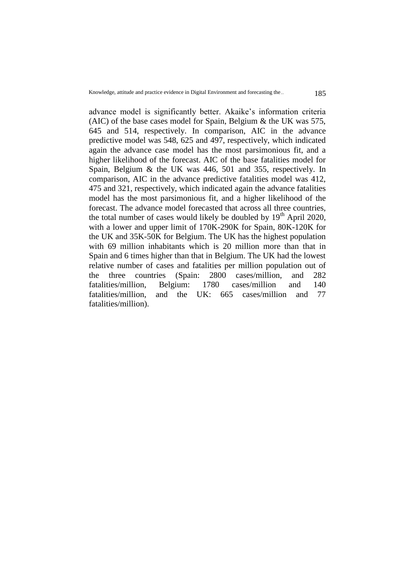advance model is significantly better. Akaike's information criteria (AIC) of the base cases model for Spain, Belgium & the UK was 575, 645 and 514, respectively. In comparison, AIC in the advance predictive model was 548, 625 and 497, respectively, which indicated again the advance case model has the most parsimonious fit, and a higher likelihood of the forecast. AIC of the base fatalities model for Spain, Belgium & the UK was 446, 501 and 355, respectively. In comparison, AIC in the advance predictive fatalities model was 412, 475 and 321, respectively, which indicated again the advance fatalities model has the most parsimonious fit, and a higher likelihood of the forecast. The advance model forecasted that across all three countries, the total number of cases would likely be doubled by  $19<sup>th</sup>$  April 2020, with a lower and upper limit of 170K-290K for Spain, 80K-120K for the UK and 35K-50K for Belgium. The UK has the highest population with 69 million inhabitants which is 20 million more than that in Spain and 6 times higher than that in Belgium. The UK had the lowest relative number of cases and fatalities per million population out of the three countries (Spain: 2800 cases/million, and 282 fatalities/million, Belgium: 1780 cases/million and 140 fatalities/million, and the UK: 665 cases/million and 77 fatalities/million).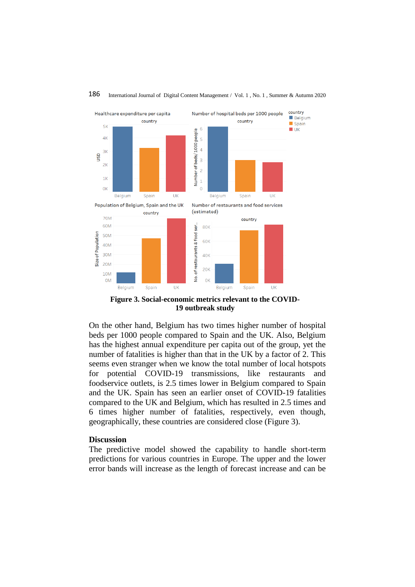

## 186 International Journal of Digital Content Management / Vol. 1 , No. 1 , Summer & Autumn 2020

**Figure 3. Social-economic metrics relevant to the COVID-19 outbreak study**

On the other hand, Belgium has two times higher number of hospital beds per 1000 people compared to Spain and the UK. Also, Belgium has the highest annual expenditure per capita out of the group, yet the number of fatalities is higher than that in the UK by a factor of 2. This seems even stranger when we know the total number of local hotspots for potential COVID-19 transmissions, like restaurants and foodservice outlets, is 2.5 times lower in Belgium compared to Spain and the UK. Spain has seen an earlier onset of COVID-19 fatalities compared to the UK and Belgium, which has resulted in 2.5 times and 6 times higher number of fatalities, respectively, even though, geographically, these countries are considered close (Figure 3).

#### **Discussion**

The predictive model showed the capability to handle short-term predictions for various countries in Europe. The upper and the lower error bands will increase as the length of forecast increase and can be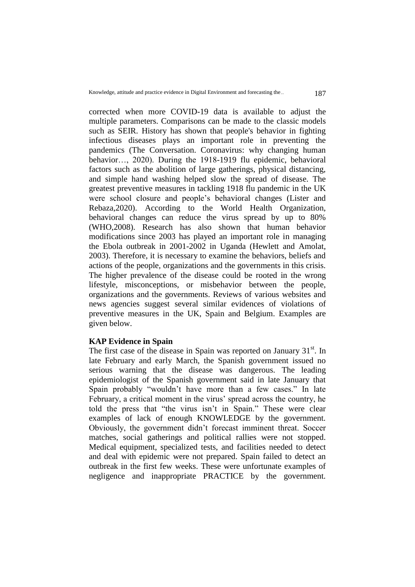corrected when more COVID-19 data is available to adjust the multiple parameters. Comparisons can be made to the classic models such as SEIR. History has shown that people's behavior in fighting infectious diseases plays an important role in preventing the pandemics (The Conversation. Coronavirus: why changing human behavior…, 2020). During the 1918-1919 flu epidemic, behavioral factors such as the abolition of large gatherings, physical distancing, and simple hand washing helped slow the spread of disease. The greatest preventive measures in tackling 1918 flu pandemic in the UK were school closure and people's behavioral changes (Lister and Rebaza,2020). According to the World Health Organization, behavioral changes can reduce the virus spread by up to 80% (WHO,2008). Research has also shown that human behavior modifications since 2003 has played an important role in managing the Ebola outbreak in 2001-2002 in Uganda (Hewlett and Amolat, 2003). Therefore, it is necessary to examine the behaviors, beliefs and actions of the people, organizations and the governments in this crisis. The higher prevalence of the disease could be rooted in the wrong lifestyle, misconceptions, or misbehavior between the people, organizations and the governments. Reviews of various websites and news agencies suggest several similar evidences of violations of preventive measures in the UK, Spain and Belgium. Examples are given below.

### **KAP Evidence in Spain**

The first case of the disease in Spain was reported on January  $31<sup>st</sup>$ . In late February and early March, the Spanish government issued no serious warning that the disease was dangerous. The leading epidemiologist of the Spanish government said in late January that Spain probably "wouldn't have more than a few cases." In late February, a critical moment in the virus' spread across the country, he told the press that "the virus isn't in Spain." These were clear examples of lack of enough KNOWLEDGE by the government. Obviously, the government didn't forecast imminent threat. Soccer matches, social gatherings and political rallies were not stopped. Medical equipment, specialized tests, and facilities needed to detect and deal with epidemic were not prepared. Spain failed to detect an outbreak in the first few weeks. These were unfortunate examples of negligence and inappropriate PRACTICE by the government.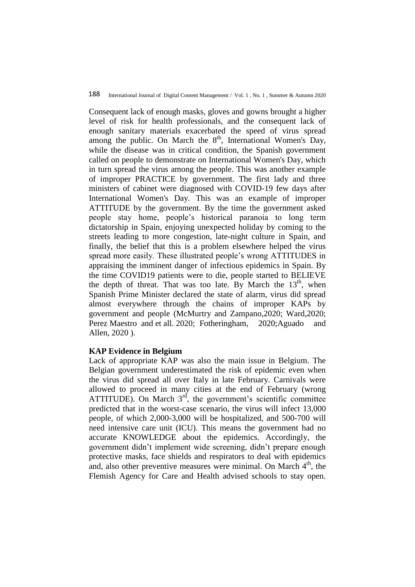Consequent lack of enough masks, gloves and gowns brought a higher level of risk for health professionals, and the consequent lack of enough sanitary materials exacerbated the speed of virus spread among the public. On March the  $8<sup>th</sup>$ , International Women's Day, while the disease was in critical condition, the Spanish government called on people to demonstrate on International Women's Day, which in turn spread the virus among the people. This was another example of improper PRACTICE by government. The first lady and three ministers of cabinet were diagnosed with COVID-19 few days after International Women's Day. This was an example of improper ATTITUDE by the government. By the time the government asked people stay home, people's historical paranoia to long term dictatorship in Spain, enjoying unexpected holiday by coming to the streets leading to more congestion, late-night culture in Spain, and finally, the belief that this is a problem elsewhere helped the virus spread more easily. These illustrated people's wrong ATTITUDES in appraising the imminent danger of infectious epidemics in Spain. By the time COVID19 patients were to die, people started to BELIEVE the depth of threat. That was too late. By March the  $13<sup>th</sup>$ , when Spanish Prime Minister declared the state of alarm, virus did spread almost everywhere through the chains of improper KAPs by government and people (McMurtry and Zampano,2020; Ward,2020; Perez Maestro and et all. 2020; [Fotheringham,](https://www.aljazeera.com/profile/alasdair-fotheringham.html) 2020;Aguado and Allen, 2020 ).

## **KAP Evidence in Belgium**

Lack of appropriate KAP was also the main issue in Belgium. The Belgian government underestimated the risk of epidemic even when the virus did spread all over Italy in late February. Carnivals were allowed to proceed in many cities at the end of February (wrong ATTITUDE). On March  $3<sup>rd</sup>$ , the government's scientific committee predicted that in the worst-case scenario, the virus will infect 13,000 people, of which 2,000-3,000 will be hospitalized, and 500-700 will need intensive care unit (ICU). This means the government had no accurate KNOWLEDGE about the epidemics. Accordingly, the government didn't implement wide screening, didn't prepare enough protective masks, face shields and respirators to deal with epidemics and, also other preventive measures were minimal. On March  $4<sup>th</sup>$ , the Flemish Agency for Care and Health advised schools to stay open.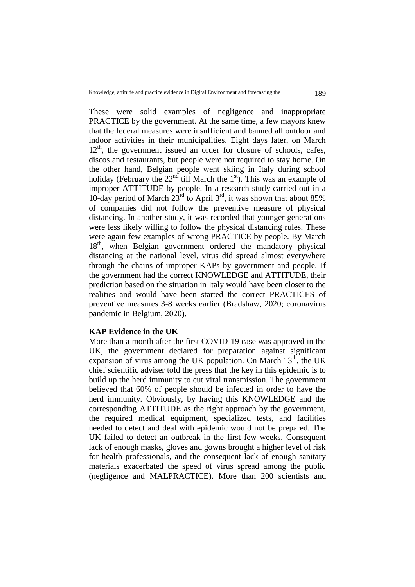These were solid examples of negligence and inappropriate PRACTICE by the government. At the same time, a few mayors knew that the federal measures were insufficient and banned all outdoor and indoor activities in their municipalities. Eight days later, on March  $12<sup>th</sup>$ , the government issued an order for closure of schools, cafes, discos and restaurants, but people were not required to stay home. On the other hand, Belgian people went skiing in Italy during school holiday (February the  $22<sup>nd</sup>$  till March the  $1<sup>st</sup>$ ). This was an example of improper ATTITUDE by people. In a research study carried out in a 10-day period of March  $23^{\text{rd}}$  to April 3<sup>rd</sup>, it was shown that about 85% of companies did not follow the preventive measure of physical distancing. In another study, it was recorded that younger generations were less likely willing to follow the physical distancing rules. These were again few examples of wrong PRACTICE by people. By March 18<sup>th</sup>, when Belgian government ordered the mandatory physical distancing at the national level, virus did spread almost everywhere through the chains of improper KAPs by government and people. If the government had the correct KNOWLEDGE and ATTITUDE, their prediction based on the situation in Italy would have been closer to the realities and would have been started the correct PRACTICES of preventive measures 3-8 weeks earlier (Bradshaw, 2020; coronavirus pandemic in Belgium, 2020).

### **KAP Evidence in the UK**

More than a month after the first COVID-19 case was approved in the UK, the government declared for preparation against significant expansion of virus among the UK population. On March  $13<sup>th</sup>$ , the UK chief scientific adviser told the press that the key in this epidemic is to build up the herd immunity to cut viral transmission. The government believed that 60% of people should be infected in order to have the herd immunity. Obviously, by having this KNOWLEDGE and the corresponding ATTITUDE as the right approach by the government, the required medical equipment, specialized tests, and facilities needed to detect and deal with epidemic would not be prepared. The UK failed to detect an outbreak in the first few weeks. Consequent lack of enough masks, gloves and gowns brought a higher level of risk for health professionals, and the consequent lack of enough sanitary materials exacerbated the speed of virus spread among the public (negligence and MALPRACTICE). More than 200 scientists and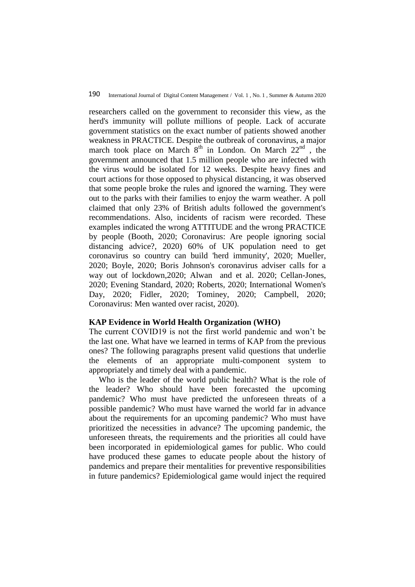researchers called on the government to reconsider this view, as the herd's immunity will pollute millions of people. Lack of accurate government statistics on the exact number of patients showed another weakness in PRACTICE. Despite the outbreak of coronavirus, a major march took place on March  $8<sup>th</sup>$  in London. On March  $22<sup>nd</sup>$ , the government announced that 1.5 million people who are infected with the virus would be isolated for 12 weeks. Despite heavy fines and court actions for those opposed to physical distancing, it was observed that some people broke the rules and ignored the warning. They were out to the parks with their families to enjoy the warm weather. A poll claimed that only 23% of British adults followed the government's recommendations. Also, incidents of racism were recorded. These examples indicated the wrong ATTITUDE and the wrong PRACTICE by people (Booth, 2020; Coronavirus: Are people ignoring social distancing advice?, 2020) 60% of UK population need to get coronavirus so country can build 'herd immunity', 2020; Mueller, 2020; Boyle, 2020; Boris Johnson's coronavirus adviser calls for a way out of lockdown,2020; Alwan and et al. 2020; Cellan-Jones, 2020; Evening Standard, 2020; Roberts, 2020; International Women's Day, 2020; Fidler, 2020; Tominey, 2020; Campbell, 2020; Coronavirus: Men wanted over racist, 2020).

#### **KAP Evidence in World Health Organization (WHO)**

The current COVID19 is not the first world pandemic and won't be the last one. What have we learned in terms of KAP from the previous ones? The following paragraphs present valid questions that underlie the elements of an appropriate multi-component system to appropriately and timely deal with a pandemic.

Who is the leader of the world public health? What is the role of the leader? Who should have been forecasted the upcoming pandemic? Who must have predicted the unforeseen threats of a possible pandemic? Who must have warned the world far in advance about the requirements for an upcoming pandemic? Who must have prioritized the necessities in advance? The upcoming pandemic, the unforeseen threats, the requirements and the priorities all could have been incorporated in epidemiological games for public. Who could have produced these games to educate people about the history of pandemics and prepare their mentalities for preventive responsibilities in future pandemics? Epidemiological game would inject the required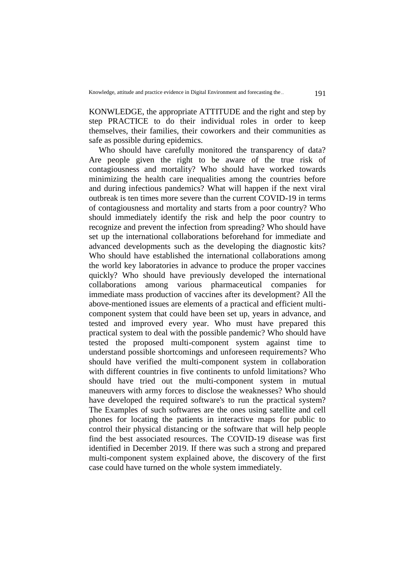KONWLEDGE, the appropriate ATTITUDE and the right and step by step PRACTICE to do their individual roles in order to keep themselves, their families, their coworkers and their communities as safe as possible during epidemics.

Who should have carefully monitored the transparency of data? Are people given the right to be aware of the true risk of contagiousness and mortality? Who should have worked towards minimizing the health care inequalities among the countries before and during infectious pandemics? What will happen if the next viral outbreak is ten times more severe than the current COVID-19 in terms of contagiousness and mortality and starts from a poor country? Who should immediately identify the risk and help the poor country to recognize and prevent the infection from spreading? Who should have set up the international collaborations beforehand for immediate and advanced developments such as the developing the diagnostic kits? Who should have established the international collaborations among the world key laboratories in advance to produce the proper vaccines quickly? Who should have previously developed the international collaborations among various pharmaceutical companies for immediate mass production of vaccines after its development? All the above-mentioned issues are elements of a practical and efficient multicomponent system that could have been set up, years in advance, and tested and improved every year. Who must have prepared this practical system to deal with the possible pandemic? Who should have tested the proposed multi-component system against time to understand possible shortcomings and unforeseen requirements? Who should have verified the multi-component system in collaboration with different countries in five continents to unfold limitations? Who should have tried out the multi-component system in mutual maneuvers with army forces to disclose the weaknesses? Who should have developed the required software's to run the practical system? The Examples of such softwares are the ones using satellite and cell phones for locating the patients in interactive maps for public to control their physical distancing or the software that will help people find the best associated resources. The COVID-19 disease was first identified in December 2019. If there was such a strong and prepared multi-component system explained above, the discovery of the first case could have turned on the whole system immediately.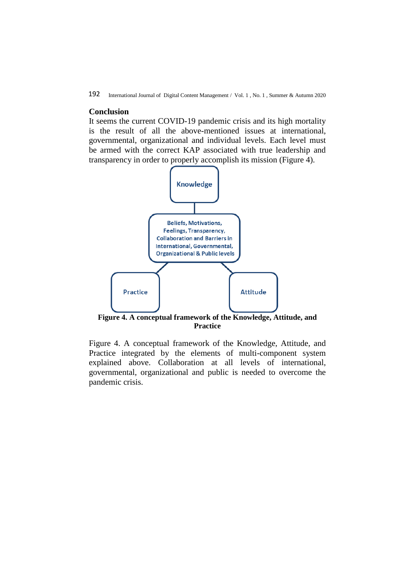#### **Conclusion**

It seems the current COVID-19 pandemic crisis and its high mortality is the result of all the above-mentioned issues at international, governmental, organizational and individual levels. Each level must be armed with the correct KAP associated with true leadership and transparency in order to properly accomplish its mission (Figure 4).



**[Figure 4](https://www.ncbi.nlm.nih.gov/pmc/articles/PMC5727069/figure/F1/). A conceptual framework of the Knowledge, Attitude, and Practice**

[Figure 4](https://www.ncbi.nlm.nih.gov/pmc/articles/PMC5727069/figure/F1/). A conceptual framework of the Knowledge, Attitude, and Practice integrated by the elements of multi-component system explained above. Collaboration at all levels of international, governmental, organizational and public is needed to overcome the pandemic crisis.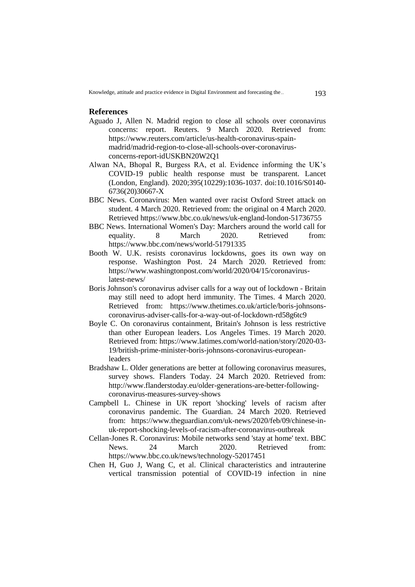#### **References**

- Aguado J, Allen N. Madrid region to close all schools over coronavirus concerns: report. Reuters. 9 March 2020. Retrieved from: [https://www.reuters.com/article/us-health-coronavirus-spain](https://www.reuters.com/article/us-health-coronavirus-spain-madrid/madrid-region-to-close-all-schools-over-coronavirus-concerns-report-idUSKBN20W2Q1)[madrid/madrid-region-to-close-all-schools-over-coronavirus](https://www.reuters.com/article/us-health-coronavirus-spain-madrid/madrid-region-to-close-all-schools-over-coronavirus-concerns-report-idUSKBN20W2Q1)[concerns-report-idUSKBN20W2Q1](https://www.reuters.com/article/us-health-coronavirus-spain-madrid/madrid-region-to-close-all-schools-over-coronavirus-concerns-report-idUSKBN20W2Q1)
- Alwan NA, Bhopal R, Burgess RA, et al. Evidence informing the UK's COVID-19 public health response must be transparent. Lancet (London, England). 2020;395(10229):1036-1037. doi:10.1016/S0140- 6736(20)30667-X
- BBC News. Coronavirus: Men wanted over racist Oxford Street attack on student. 4 March 2020. Retrieved from: the original on 4 March 2020. Retrieved<https://www.bbc.co.uk/news/uk-england-london-51736755>
- BBC News. International Women's Day: Marchers around the world call for equality. 8 March 2020. Retrieved from: <https://www.bbc.com/news/world-51791335>
- Booth W. [U.K. resists coronavirus lockdowns, goes its own way on](https://www.washingtonpost.com/world/europe/uk-coronavirus-herd-immunity/2020/03/16/1c9d640e-66c7-11ea-b199-3a9799c54512_story.html)  [response.](https://www.washingtonpost.com/world/europe/uk-coronavirus-herd-immunity/2020/03/16/1c9d640e-66c7-11ea-b199-3a9799c54512_story.html) Washington Post. 24 March 2020. Retrieved from: [https://www.washingtonpost.com/world/2020/04/15/coronavirus](https://www.washingtonpost.com/world/2020/04/15/coronavirus-latest-news/)[latest-news/](https://www.washingtonpost.com/world/2020/04/15/coronavirus-latest-news/)
- [Boris Johnson's coronavirus adviser calls for a way out of lockdown -](https://www.thetimes.co.uk/article/boris-johnsons-coronavirus-adviser-calls-for-a-way-out-of-lockdown-rd58g6tc9) Britain [may still need to adopt herd immunity.](https://www.thetimes.co.uk/article/boris-johnsons-coronavirus-adviser-calls-for-a-way-out-of-lockdown-rd58g6tc9) The Times. 4 March 2020. Retrieved from: https://www.thetimes.co.uk/article/boris-johnsonscoronavirus-adviser-calls-for-a-way-out-of-lockdown-rd58g6tc9
- Boyle C. On coronavirus containment, [Britain's Johnson is less restrictive](https://www.latimes.com/world-nation/story/2020-03-19/british-prime-minister-boris-johnsons-coronavirus-european-leaders)  [than other European leaders.](https://www.latimes.com/world-nation/story/2020-03-19/british-prime-minister-boris-johnsons-coronavirus-european-leaders) Los Angeles Times. 19 March 2020. Retrieved from: [https://www.latimes.com/world-nation/story/2020-03-](https://www.latimes.com/world-nation/story/2020-03-19/british-prime-minister-boris-johnsons-coronavirus-european-leaders) [19/british-prime-minister-boris-johnsons-coronavirus-european](https://www.latimes.com/world-nation/story/2020-03-19/british-prime-minister-boris-johnsons-coronavirus-european-leaders)[leaders](https://www.latimes.com/world-nation/story/2020-03-19/british-prime-minister-boris-johnsons-coronavirus-european-leaders)
- [Bradshaw](http://www.flanderstoday.eu/users/lisabradshaw) L. Older generations are better at following coronavirus measures, survey shows. Flanders Today. 24 March 2020. Retrieved from: [http://www.flanderstoday.eu/older-generations-are-better-following](http://www.flanderstoday.eu/older-generations-are-better-following-coronavirus-measures-survey-shows)[coronavirus-measures-survey-shows](http://www.flanderstoday.eu/older-generations-are-better-following-coronavirus-measures-survey-shows)
- Campbell L. [Chinese in UK report 'shocking' levels of racism after](https://www.theguardian.com/uk-news/2020/feb/09/chinese-in-uk-report-shocking-levels-of-racism-after-coronavirus-outbreak)  [coronavirus pandemic.](https://www.theguardian.com/uk-news/2020/feb/09/chinese-in-uk-report-shocking-levels-of-racism-after-coronavirus-outbreak) The Guardian. 24 March 2020. Retrieved from: [https://www.theguardian.com/uk-news/2020/feb/09/chinese-in](https://www.theguardian.com/uk-news/2020/feb/09/chinese-in-uk-report-shocking-levels-of-racism-after-coronavirus-outbreak)[uk-report-shocking-levels-of-racism-after-coronavirus-outbreak](https://www.theguardian.com/uk-news/2020/feb/09/chinese-in-uk-report-shocking-levels-of-racism-after-coronavirus-outbreak)
- Cellan-Jones R. [Coronavirus: Mobile networks send 'stay at home' text.](https://www.bbc.co.uk/news/technology-52017451) BBC<br>News. 24 March 2020. Retrieved from: News. 24 March 2020. Retrieved from: <https://www.bbc.co.uk/news/technology-52017451>
- Chen H, Guo J, Wang C, et al. Clinical characteristics and intrauterine vertical transmission potential of COVID-19 infection in nine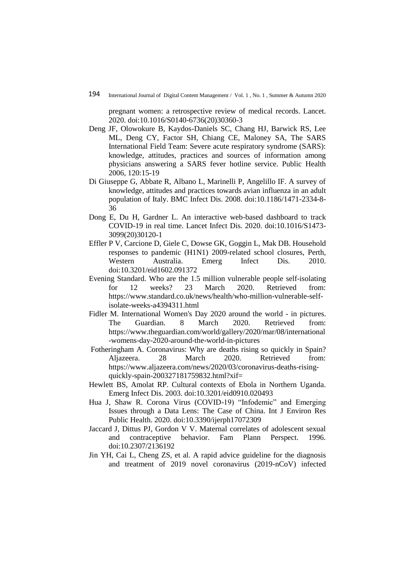pregnant women: a retrospective review of medical records. Lancet. 2020. doi:10.1016/S0140-6736(20)30360-3

- Deng JF, Olowokure B, Kaydos-Daniels SC, Chang HJ, Barwick RS, Lee ML, Deng CY, Factor SH, Chiang CE, Maloney SA, The SARS International Field Team: Severe acute respiratory syndrome (SARS): knowledge, attitudes, practices and sources of information among physicians answering a SARS fever hotline service. Public Health 2006, 120:15-19
- Di Giuseppe G, Abbate R, Albano L, Marinelli P, Angelillo IF. A survey of knowledge, attitudes and practices towards avian influenza in an adult population of Italy. BMC Infect Dis. 2008. doi:10.1186/1471-2334-8- 36
- Dong E, Du H, Gardner L. An interactive web-based dashboard to track COVID-19 in real time. Lancet Infect Dis. 2020. doi:10.1016/S1473- 3099(20)30120-1
- Effler P V, Carcione D, Giele C, Dowse GK, Goggin L, Mak DB. Household responses to pandemic (H1N1) 2009-related school closures, Perth, Western Australia. Emerg Infect Dis. 2010. doi:10.3201/eid1602.091372
- Evening Standard. Who are the 1.5 million vulnerable people self-isolating for 12 weeks? 23 March 2020. Retrieved from: https://www.standard.co.uk/news/health/who-million-vulnerable-selfisolate-weeks-a4394311.html
- Fidler M. International Women's Day 2020 around the world in pictures. The Guardian. 8 March 2020. Retrieved from: https://www.theguardian.com/world/gallery/2020/mar/08/international -womens-day-2020-around-the-world-in-pictures
- [Fotheringham](https://www.aljazeera.com/profile/alasdair-fotheringham.html) A. Coronavirus: Why are deaths rising so quickly in Spain? Aljazeera. 28 March 2020. Retrieved from: [https://www.aljazeera.com/news/2020/03/coronavirus-deaths-rising](https://www.aljazeera.com/news/2020/03/coronavirus-deaths-rising-quickly-spain-200327181759832.html?xif=.)[quickly-spain-200327181759832.html?xif=](https://www.aljazeera.com/news/2020/03/coronavirus-deaths-rising-quickly-spain-200327181759832.html?xif=.)
- Hewlett BS, Amolat RP. Cultural contexts of Ebola in Northern Uganda. Emerg Infect Dis. 2003. doi:10.3201/eid0910.020493
- Hua J, Shaw R. Corona Virus (COVID-19) "Infodemic" and Emerging Issues through a Data Lens: The Case of China. Int J Environ Res Public Health. 2020. doi:10.3390/ijerph17072309
- Jaccard J, Dittus PJ, Gordon V V. Maternal correlates of adolescent sexual and contraceptive behavior. Fam Plann Perspect. 1996. doi:10.2307/2136192
- Jin YH, Cai L, Cheng ZS, et al. A rapid advice guideline for the diagnosis and treatment of 2019 novel coronavirus (2019-nCoV) infected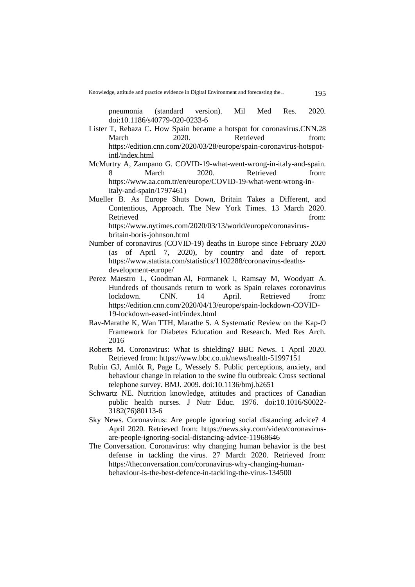Knowledge, attitude and practice evidence in Digital Environment and forecasting the ... 195

pneumonia (standard version). Mil Med Res. 2020. doi:10.1186/s40779-020-0233-6

- Lister T, Rebaza C. How Spain became a hotspot for coronavirus.CNN.28 March 2020. Retrieved from: [https://edition.cnn.com/2020/03/28/europe/spain-coronavirus-hotspot](https://edition.cnn.com/2020/03/28/europe/spain-coronavirus-hotspot-intl/index.html)[intl/index.html](https://edition.cnn.com/2020/03/28/europe/spain-coronavirus-hotspot-intl/index.html)
- McMurtry A, Zampano G. [COVID-19-what-went-wrong-in-italy-and-spain.](https://www.aa.com.tr/en/europe/COVID-19-what-went-wrong-in-italy-and-spain) 8 March 2020. Retrieved from: [https://www.aa.com.tr/en/europe/COVID-19-what-went-wrong-in](https://www.aa.com.tr/en/europe/covid-19-what-went-wrong-in-italy-and-spain/1797461)[italy-and-spain/1797461\)](https://www.aa.com.tr/en/europe/covid-19-what-went-wrong-in-italy-and-spain/1797461)
- Mueller B. [As Europe Shuts Down, Britain Takes a Different, and](https://www.nytimes.com/2020/03/13/world/europe/coronavirus-britain-boris-johnson.html)  [Contentious, Approach.](https://www.nytimes.com/2020/03/13/world/europe/coronavirus-britain-boris-johnson.html) The New York Times. 13 March 2020. Retrieved from: https://www.nytimes.com/2020/03/13/world/europe/coronavirusbritain-boris-johnson.html
- Number of coronavirus (COVID-19) deaths in Europe since February 2020 (as of April 7, 2020), by country and date of report. [https://www.statista.com/statistics/1102288/coronavirus-deaths](https://www.statista.com/statistics/1102288/coronavirus-deaths-development-europe/)[development-europe/](https://www.statista.com/statistics/1102288/coronavirus-deaths-development-europe/)
- Perez Maestro L, Goodman [Al,](https://edition.cnn.com/profiles/al-goodman-profile) Formanek I, Ramsay M, Woodyatt A. Hundreds of thousands return to work as Spain relaxes coronavirus lockdown. CNN. 14 April. Retrieved from: [https://edition.cnn.com/2020/04/13/europe/spain-lockdown-COVID-](https://edition.cnn.com/2020/04/13/europe/spain-lockdown-COVID-19-lockdown-eased-intl/index.html,)[19-lockdown-eased-intl/index.html](https://edition.cnn.com/2020/04/13/europe/spain-lockdown-COVID-19-lockdown-eased-intl/index.html,)
- Rav-Marathe K, Wan TTH, Marathe S. A Systematic Review on the Kap-O Framework for Diabetes Education and Research. Med Res Arch. 2016
- Roberts M. [Coronavirus: What is shielding?](https://www.bbc.co.uk/news/health-51997151) BBC News. 1 April 2020. Retrieved from: https://www.bbc.co.uk/news/health-51997151
- Rubin GJ, Amlôt R, Page L, Wessely S. Public perceptions, anxiety, and behaviour change in relation to the swine flu outbreak: Cross sectional telephone survey. BMJ. 2009. doi:10.1136/bmj.b2651
- Schwartz NE. Nutrition knowledge, attitudes and practices of Canadian public health nurses. J Nutr Educ. 1976. doi:10.1016/S0022- 3182(76)80113-6
- Sky News. Coronavirus: Are people ignoring social distancing advice? 4 April 2020. Retrieved from: [https://news.sky.com/video/coronavirus](https://news.sky.com/video/coronavirus-are-people-ignoring-social-distancing-advice-11968646)[are-people-ignoring-social-distancing-advice-11968646](https://news.sky.com/video/coronavirus-are-people-ignoring-social-distancing-advice-11968646)
- The Conversation. Coronavirus: why changing human behavior is the best defense in tackling the virus. 27 March 2020. Retrieved from: https://theconversation.com/coronavirus-why-changing-humanbehaviour-is-the-best-defence-in-tackling-the-virus-134500